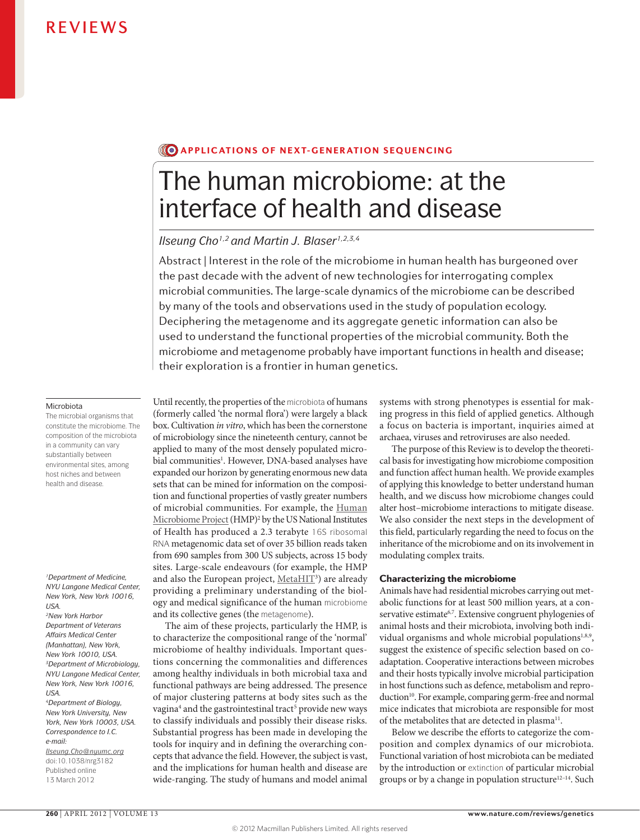## **CO APPLICATIONS OF NEXT-GENERATION SEQUENCING**

# The human microbiome: at the interface of health and disease

## *Ilseung Cho1,2 and Martin J. Blaser1,2,3,4*

Abstract | Interest in the role of the microbiome in human health has burgeoned over the past decade with the advent of new technologies for interrogating complex microbial communities. The large-scale dynamics of the microbiome can be described by many of the tools and observations used in the study of population ecology. Deciphering the metagenome and its aggregate genetic information can also be used to understand the functional properties of the microbial community. Both the microbiome and metagenome probably have important functions in health and disease; their exploration is a frontier in human genetics.

### Microbiota

The microbial organisms that constitute the microbiome. The composition of the microbiota in a community can vary substantially between environmental sites, among host niches and between health and disease.

*1Department of Medicine, NYU Langone Medical Center, New York, New York 10016, USA.*

*2New York Harbor Department of Veterans Affairs Medical Center (Manhattan), New York, New York 10010, USA. 3Department of Microbiology, NYU Langone Medical Center, New York, New York 10016, USA. 4Department of Biology, New York University, New York, New York 10003, USA. Correspondence to I.C. e-mail: [Ilseung.Cho@nyumc.org](mailto:Ilseung.Cho@nyumc.org)* doi:10.1038/nrg3182 Published online 13 March 2012

Until recently, the properties of the microbiota of humans (formerly called 'the normal flora') were largely a black box. Cultivation *in vitro*, which has been the cornerstone of microbiology since the nineteenth century, cannot be applied to many of the most densely populated microbial communities<sup>1</sup>. However, DNA-based analyses have expanded our horizon by generating enormous new data sets that can be mined for information on the composition and functional properties of vastly greater numbers of microbial communities. For example, the [Human](http://commonfund.nih.gov/hmp/)  [Microbiome Project](http://commonfund.nih.gov/hmp/) (HMP)2 by the US National Institutes of Health has produced a 2.3 terabyte 16S ribosomal RNA metagenomic data set of over 35 billion reads taken from 690 samples from 300 US subjects, across 15 body sites. Large-scale endeavours (for example, the HMP and also the European project, <u>[MetaHIT](http://www.metahit.eu/)</u>3) are already providing a preliminary understanding of the biology and medical significance of the human microbiome and its collective genes (the metagenome).

The aim of these projects, particularly the HMP, is to characterize the compositional range of the 'normal' microbiome of healthy individuals. Important questions concerning the commonalities and differences among healthy individuals in both microbial taxa and functional pathways are being addressed. The presence of major clustering patterns at body sites such as the vagina<sup>4</sup> and the gastrointestinal tract<sup>5</sup> provide new ways to classify individuals and possibly their disease risks. Substantial progress has been made in developing the tools for inquiry and in defining the overarching concepts that advance the field. However, the subject is vast, and the implications for human health and disease are wide-ranging. The study of humans and model animal systems with strong phenotypes is essential for making progress in this field of applied genetics. Although a focus on bacteria is important, inquiries aimed at archaea, viruses and retroviruses are also needed.

The purpose of this Review is to develop the theoretical basis for investigating how microbiome composition and function affect human health. We provide examples of applying this knowledge to better understand human health, and we discuss how microbiome changes could alter host–microbiome interactions to mitigate disease. We also consider the next steps in the development of this field, particularly regarding the need to focus on the inheritance of the microbiome and on its involvement in modulating complex traits.

### Characterizing the microbiome

Animals have had residential microbes carrying out metabolic functions for at least 500 million years, at a conservative estimate<sup>6,7</sup>. Extensive congruent phylogenies of animal hosts and their microbiota, involving both individual organisms and whole microbial populations $1,8,9$ , suggest the existence of specific selection based on coadaptation. Cooperative interactions between microbes and their hosts typically involve microbial participation in host functions such as defence, metabolism and reproduction<sup>10</sup>. For example, comparing germ-free and normal mice indicates that microbiota are responsible for most of the metabolites that are detected in plasma<sup>11</sup>.

Below we describe the efforts to categorize the composition and complex dynamics of our microbiota. Functional variation of host microbiota can be mediated by the introduction or extinction of particular microbial groups or by a change in population structure<sup>12-14</sup>. Such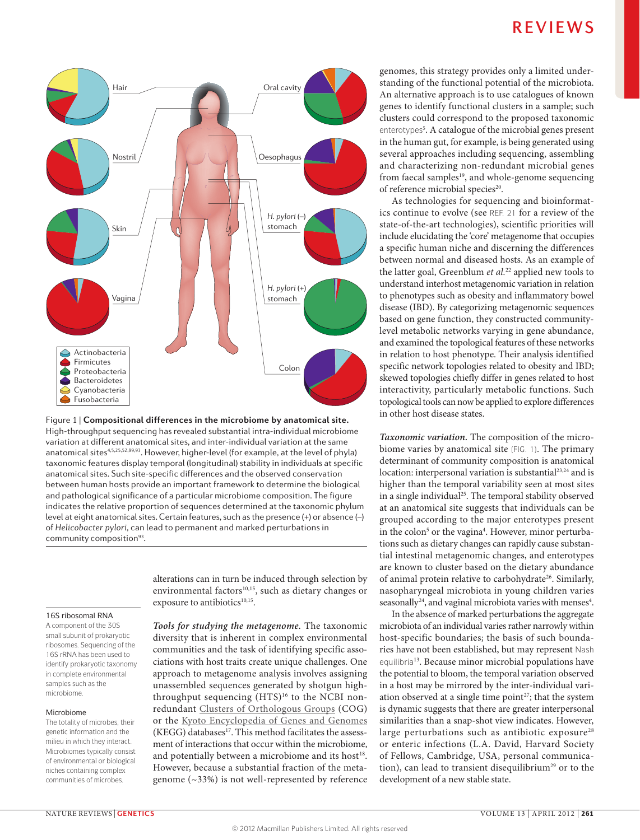

**Nature Reviews** | **Genetics** High-throughput sequencing has revealed substantial intra-individual microbiome Figure 1 | **Compositional differences in the microbiome by anatomical site.**  variation at different anatomical sites, and inter-individual variation at the same anatomical sites4,5,25,52,89,93. However, higher-level (for example, at the level of phyla) taxonomic features display temporal (longitudinal) stability in individuals at specific anatomical sites. Such site-specific differences and the observed conservation between human hosts provide an important framework to determine the biological and pathological significance of a particular microbiome composition. The figure indicates the relative proportion of sequences determined at the taxonomic phylum level at eight anatomical sites. Certain features, such as the presence (+) or absence (–) of *Helicobacter pylori,* can lead to permanent and marked perturbations in community composition<sup>93</sup>.

> alterations can in turn be induced through selection by environmental factors<sup>10,15</sup>, such as dietary changes or exposure to antibiotics<sup>10,15</sup>.

### 16S ribosomal RNA

A component of the 30S small subunit of prokaryotic ribosomes. Sequencing of the 16S rRNA has been used to identify prokaryotic taxonomy in complete environmental samples such as the microbiome.

#### Microbiome

The totality of microbes, their genetic information and the milieu in which they interact. Microbiomes typically consist of environmental or biological niches containing complex communities of microbes.

*Tools for studying the metagenome.* The taxonomic diversity that is inherent in complex environmental communities and the task of identifying specific associations with host traits create unique challenges. One approach to metagenome analysis involves assigning unassembled sequences generated by shotgun highthroughput sequencing  $(HTS)^{16}$  to the NCBI nonredundant [Clusters of Orthologous Groups](http://clovr.org/docs/clusters-of-orthologous-groups-cogs/) (COG) or the [Kyoto Encyclopedia of Genes and Genomes](http://www.genome.jp/kegg/)  $(KEGG)$  databases<sup>17</sup>. This method facilitates the assessment of interactions that occur within the microbiome, and potentially between a microbiome and its host<sup>18</sup>. However, because a substantial fraction of the metagenome (~33%) is not well-represented by reference genomes, this strategy provides only a limited understanding of the functional potential of the microbiota. An alternative approach is to use catalogues of known genes to identify functional clusters in a sample; such clusters could correspond to the proposed taxonomic enterotypes<sup>5</sup>. A catalogue of the microbial genes present in the human gut, for example, is being generated using several approaches including sequencing, assembling and characterizing non-redundant microbial genes from faecal samples<sup>19</sup>, and whole-genome sequencing of reference microbial species<sup>20</sup>.

As technologies for sequencing and bioinformatics continue to evolve (see REF. 21 for a review of the state-of-the-art technologies), scientific priorities will include elucidating the 'core' metagenome that occupies a specific human niche and discerning the differences between normal and diseased hosts. As an example of the latter goal, Greenblum *et al.*22 applied new tools to understand interhost metagenomic variation in relation to phenotypes such as obesity and inflammatory bowel disease (IBD). By categorizing metagenomic sequences based on gene function, they constructed communitylevel metabolic networks varying in gene abundance, and examined the topological features of these networks in relation to host phenotype. Their analysis identified specific network topologies related to obesity and IBD; skewed topologies chiefly differ in genes related to host interactivity, particularly metabolic functions. Such topological tools can now be applied to explore differences in other host disease states.

*Taxonomic variation.* The composition of the microbiome varies by anatomical site (FIG. 1). The primary determinant of community composition is anatomical location: interpersonal variation is substantial<sup>23,24</sup> and is higher than the temporal variability seen at most sites in a single individual<sup>25</sup>. The temporal stability observed at an anatomical site suggests that individuals can be grouped according to the major enterotypes present in the colon<sup>5</sup> or the vagina<sup>4</sup>. However, minor perturbations such as dietary changes can rapidly cause substantial intestinal metagenomic changes, and enterotypes are known to cluster based on the dietary abundance of animal protein relative to carbohydrate<sup>26</sup>. Similarly, nasopharyngeal microbiota in young children varies seasonally<sup>24</sup>, and vaginal microbiota varies with menses<sup>4</sup>.

In the absence of marked perturbations the aggregate microbiota of an individual varies rather narrowly within host-specific boundaries; the basis of such boundaries have not been established, but may represent Nash equilibria<sup>13</sup>. Because minor microbial populations have the potential to bloom, the temporal variation observed in a host may be mirrored by the inter-individual variation observed at a single time point<sup>27</sup>; that the system is dynamic suggests that there are greater interpersonal similarities than a snap-shot view indicates. However, large perturbations such as antibiotic exposure<sup>28</sup> or enteric infections (L.A. David, Harvard Society of Fellows, Cambridge, USA, personal communication), can lead to transient disequilibrium<sup>29</sup> or to the development of a new stable state.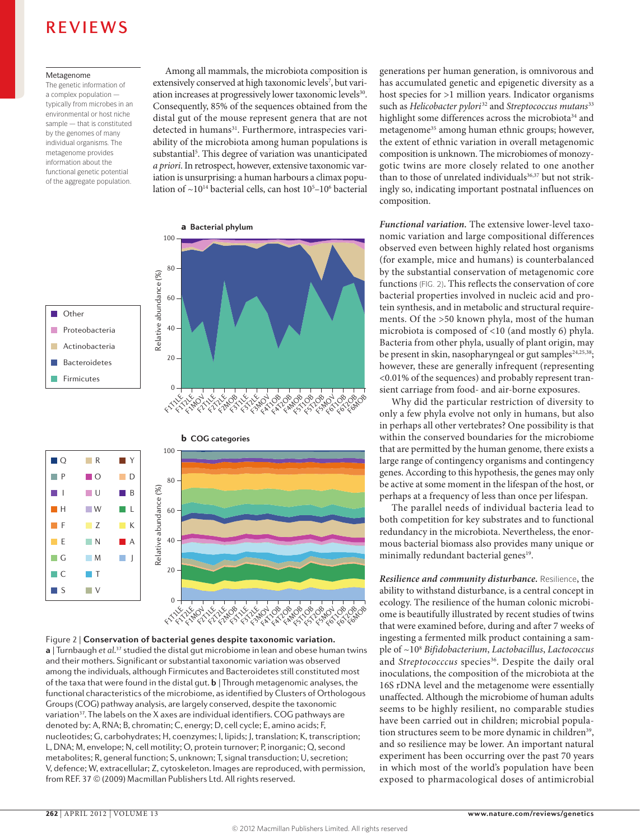### Metagenome

The genetic information of a complex population typically from microbes in an environmental or host niche sample — that is constituted by the genomes of many individual organisms. The metagenome provides information about the functional genetic potential of the aggregate population.

Among all mammals, the microbiota composition is extensively conserved at high taxonomic levels7 , but variation increases at progressively lower taxonomic levels<sup>30</sup>. Consequently, 85% of the sequences obtained from the distal gut of the mouse represent genera that are not detected in humans<sup>31</sup>. Furthermore, intraspecies variability of the microbiota among human populations is substantial<sup>5</sup>. This degree of variation was unanticipated *a priori*. In retrospect, however, extensive taxonomic variation is unsurprising: a human harbours a climax population of  $\sim 10^{14}$  bacterial cells, can host  $10^{5}-10^{6}$  bacterial





generations per human generation, is omnivorous and has accumulated genetic and epigenetic diversity as a host species for >1 million years. Indicator organisms such as *Helicobacter pylori* 32 and *Streptococcus mutans*<sup>33</sup> highlight some differences across the microbiota<sup>34</sup> and metagenome<sup>35</sup> among human ethnic groups; however, the extent of ethnic variation in overall metagenomic composition is unknown. The microbiomes of monozygotic twins are more closely related to one another than to those of unrelated individuals<sup>36,37</sup> but not strikingly so, indicating important postnatal influences on composition.

*Functional variation.* The extensive lower-level taxonomic variation and large compositional differences observed even between highly related host organisms (for example, mice and humans) is counterbalanced by the substantial conservation of metagenomic core functions (FIG. 2). This reflects the conservation of core bacterial properties involved in nucleic acid and protein synthesis, and in metabolic and structural requirements. Of the >50 known phyla, most of the human microbiota is composed of <10 (and mostly 6) phyla. Bacteria from other phyla, usually of plant origin, may be present in skin, nasopharyngeal or gut samples<sup>24,25,38</sup>; however, these are generally infrequent (representing <0.01% of the sequences) and probably represent transient carriage from food- and air-borne exposures.

Why did the particular restriction of diversity to only a few phyla evolve not only in humans, but also in perhaps all other vertebrates? One possibility is that within the conserved boundaries for the microbiome that are permitted by the human genome, there exists a large range of contingency organisms and contingency genes. According to this hypothesis, the genes may only be active at some moment in the lifespan of the host, or perhaps at a frequency of less than once per lifespan.

The parallel needs of individual bacteria lead to both competition for key substrates and to functional redundancy in the microbiota. Nevertheless, the enormous bacterial biomass also provides many unique or minimally redundant bacterial genes<sup>19</sup>.

*Resilience and community disturbance.* Resilience, the ability to withstand disturbance, is a central concept in ecology. The resilience of the human colonic microbiome is beautifully illustrated by recent studies of twins that were examined before, during and after 7 weeks of ingesting a fermented milk product containing a sample of ~108 *Bifidobacterium*, *Lactobacillus*, *Lactococcus* and *Streptococccus* species<sup>36</sup>. Despite the daily oral inoculations, the composition of the microbiota at the 16S rDNA level and the metagenome were essentially unaffected. Although the microbiome of human adults seems to be highly resilient, no comparable studies have been carried out in children; microbial population structures seem to be more dynamic in children<sup>39</sup>, and so resilience may be lower. An important natural experiment has been occurring over the past 70 years in which most of the world's population have been exposed to pharmacological doses of antimicrobial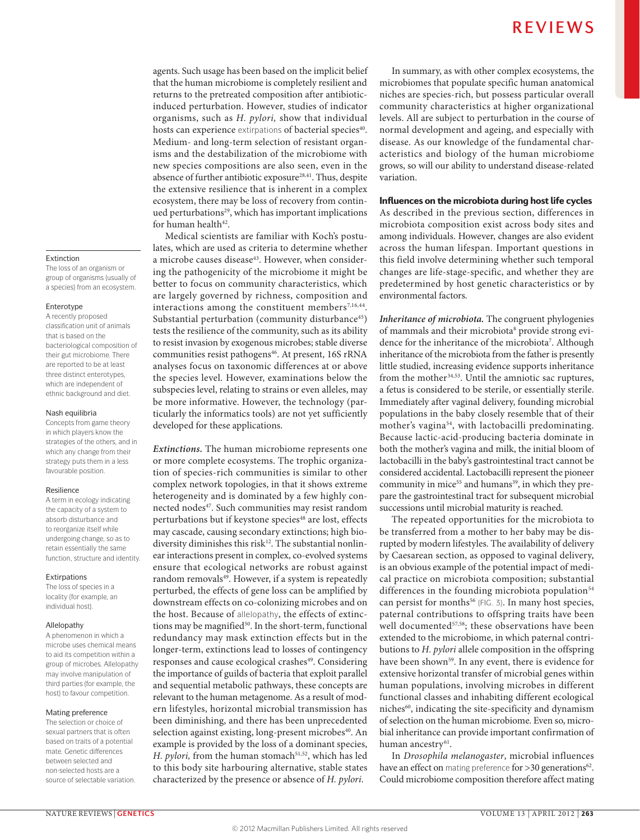agents. Such usage has been based on the implicit belief that the human microbiome is completely resilient and returns to the pretreated composition after antibioticinduced perturbation. However, studies of indicator organisms, such as *H. pylori,* show that individual hosts can experience extirpations of bacterial species<sup>40</sup>. Medium- and long-term selection of resistant organisms and the destabilization of the microbiome with new species compositions are also seen, even in the absence of further antibiotic exposure<sup>28,41</sup>. Thus, despite the extensive resilience that is inherent in a complex ecosystem, there may be loss of recovery from continued perturbations<sup>29</sup>, which has important implications for human health<sup>42</sup>.

Medical scientists are familiar with Koch's postulates, which are used as criteria to determine whether a microbe causes disease<sup>43</sup>. However, when considering the pathogenicity of the microbiome it might be better to focus on community characteristics, which are largely governed by richness, composition and interactions among the constituent members $7,16,44$ . Substantial perturbation (community disturbance<sup>45</sup>) tests the resilience of the community, such as its ability to resist invasion by exogenous microbes; stable diverse communities resist pathogens<sup>46</sup>. At present, 16S rRNA analyses focus on taxonomic differences at or above the species level. However, examinations below the subspecies level, relating to strains or even alleles, may be more informative. However, the technology (particularly the informatics tools) are not yet sufficiently developed for these applications.

*Extinctions.* The human microbiome represents one or more complete ecosystems. The trophic organization of species-rich communities is similar to other complex network topologies, in that it shows extreme heterogeneity and is dominated by a few highly connected nodes<sup>47</sup>. Such communities may resist random perturbations but if keystone species<sup>48</sup> are lost, effects may cascade, causing secondary extinctions; high biodiversity diminishes this risk<sup>12</sup>. The substantial nonlinear interactions present in complex, co-evolved systems ensure that ecological networks are robust against random removals<sup>49</sup>. However, if a system is repeatedly perturbed, the effects of gene loss can be amplified by downstream effects on co-colonizing microbes and on the host. Because of allelopathy, the effects of extinctions may be magnified<sup>50</sup>. In the short-term, functional redundancy may mask extinction effects but in the longer-term, extinctions lead to losses of contingency responses and cause ecological crashes<sup>49</sup>. Considering the importance of guilds of bacteria that exploit parallel and sequential metabolic pathways, these concepts are relevant to the human metagenome. As a result of modern lifestyles, horizontal microbial transmission has been diminishing, and there has been unprecedented selection against existing, long-present microbes<sup>40</sup>. An example is provided by the loss of a dominant species, *H. pylori*, from the human stomach<sup>51,52</sup>, which has led to this body site harbouring alternative, stable states characterized by the presence or absence of *H. pylori*.

In summary, as with other complex ecosystems, the microbiomes that populate specific human anatomical niches are species-rich, but possess particular overall community characteristics at higher organizational levels. All are subject to perturbation in the course of normal development and ageing, and especially with disease. As our knowledge of the fundamental characteristics and biology of the human microbiome grows, so will our ability to understand disease-related variation.

### Influences on the microbiota during host life cycles

As described in the previous section, differences in microbiota composition exist across body sites and among individuals. However, changes are also evident across the human lifespan. Important questions in this field involve determining whether such temporal changes are life-stage-specific, and whether they are predetermined by host genetic characteristics or by environmental factors.

*Inheritance of microbiota.* The congruent phylogenies of mammals and their microbiota<sup>8</sup> provide strong evidence for the inheritance of the microbiota<sup>7</sup>. Although inheritance of the microbiota from the father is presently little studied, increasing evidence supports inheritance from the mother<sup>34,53</sup>. Until the amniotic sac ruptures, a fetus is considered to be sterile, or essentially sterile. Immediately after vaginal delivery, founding microbial populations in the baby closely resemble that of their mother's vagina54, with lactobacilli predominating. Because lactic-acid-producing bacteria dominate in both the mother's vagina and milk, the initial bloom of lactobacilli in the baby's gastrointestinal tract cannot be considered accidental. Lactobacilli represent the pioneer community in mice<sup>55</sup> and humans<sup>39</sup>, in which they prepare the gastrointestinal tract for subsequent microbial successions until microbial maturity is reached.

The repeated opportunities for the microbiota to be transferred from a mother to her baby may be disrupted by modern lifestyles. The availability of delivery by Caesarean section, as opposed to vaginal delivery, is an obvious example of the potential impact of medical practice on microbiota composition; substantial differences in the founding microbiota population<sup>54</sup> can persist for months<sup>56</sup> (FIG. 3). In many host species, paternal contributions to offspring traits have been well documented<sup>57,58</sup>; these observations have been extended to the microbiome, in which paternal contributions to *H. pylori* allele composition in the offspring have been shown<sup>59</sup>. In any event, there is evidence for extensive horizontal transfer of microbial genes within human populations, involving microbes in different functional classes and inhabiting different ecological niches<sup>60</sup>, indicating the site-specificity and dynamism of selection on the human microbiome. Even so, microbial inheritance can provide important confirmation of human ancestry<sup>61</sup>.

In *Drosophila melanogaster*, microbial influences have an effect on mating preference for  $>$  30 generations<sup>62</sup>. Could microbiome composition therefore affect mating

### Extinction

The loss of an organism or group of organisms (usually of a species) from an ecosystem.

### Enterotype

A recently proposed classification unit of animals that is based on the bacteriological composition of their gut microbiome. There are reported to be at least three distinct enterotypes, which are independent of ethnic background and diet.

### Nash equilibria

Concepts from game theory in which players know the strategies of the others, and in which any change from their strategy puts them in a less favourable position.

### Resilience

A term in ecology indicating the capacity of a system to absorb disturbance and to reorganize itself while undergoing change, so as to retain essentially the same function, structure and identity.

#### Extirpations

The loss of species in a locality (for example, an individual host).

### Allelopathy

A phenomenon in which a microbe uses chemical means to aid its competition within a group of microbes. Allelopathy may involve manipulation of third parties (for example, the host) to favour competition.

### Mating preference

The selection or choice of sexual partners that is often based on traits of a potential mate. Genetic differences between selected and non-selected hosts are a source of selectable variation.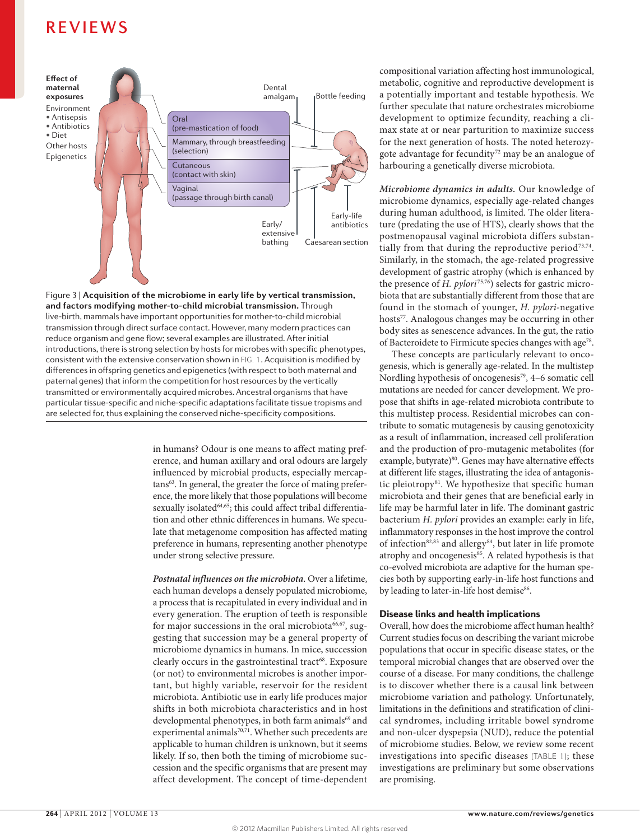

Figure 3 | **Acquisition of the microbiome in early life by vertical transmission, and factors modifying mother-to-child microbial transmission.** Through live-birth, mammals have important opportunities for mother-to-child microbial transmission through direct surface contact. However, many modern practices can reduce organism and gene flow; several examples are illustrated. After initial introductions, there is strong selection by hosts for microbes with specific phenotypes, consistent with the extensive conservation shown in FIG. 1. Acquisition is modified by differences in offspring genetics and epigenetics (with respect to both maternal and paternal genes) that inform the competition for host resources by the vertically transmitted or environmentally acquired microbes. Ancestral organisms that have particular tissue-specific and niche-specific adaptations facilitate tissue tropisms and are selected for, thus explaining the conserved niche-specificity compositions.

in humans? Odour is one means to affect mating preference, and human axillary and oral odours are largely influenced by microbial products, especially mercaptans<sup>63</sup>. In general, the greater the force of mating preference, the more likely that those populations will become sexually isolated<sup>64,65</sup>; this could affect tribal differentiation and other ethnic differences in humans. We speculate that metagenome composition has affected mating preference in humans, representing another phenotype under strong selective pressure.

*Postnatal influences on the microbiota.* Over a lifetime, each human develops a densely populated microbiome, a process that is recapitulated in every individual and in every generation. The eruption of teeth is responsible for major successions in the oral microbiota $^{66,67},$  suggesting that succession may be a general property of microbiome dynamics in humans. In mice, succession clearly occurs in the gastrointestinal tract<sup>68</sup>. Exposure (or not) to environmental microbes is another important, but highly variable, reservoir for the resident microbiota. Antibiotic use in early life produces major shifts in both microbiota characteristics and in host developmental phenotypes, in both farm animals<sup>69</sup> and experimental animals<sup>70,71</sup>. Whether such precedents are applicable to human children is unknown, but it seems likely. If so, then both the timing of microbiome succession and the specific organisms that are present may affect development. The concept of time-dependent compositional variation affecting host immunological, metabolic, cognitive and reproductive development is a potentially important and testable hypothesis. We further speculate that nature orchestrates microbiome development to optimize fecundity, reaching a climax state at or near parturition to maximize success for the next generation of hosts. The noted heterozygote advantage for fecundity<sup>72</sup> may be an analogue of harbouring a genetically diverse microbiota.

*Microbiome dynamics in adults.* Our knowledge of microbiome dynamics, especially age-related changes during human adulthood, is limited. The older literature (predating the use of HTS), clearly shows that the postmenopausal vaginal microbiota differs substantially from that during the reproductive period<sup>73,74</sup>. Similarly, in the stomach, the age-related progressive development of gastric atrophy (which is enhanced by the presence of *H. pylori*<sup>75,76</sup>) selects for gastric microbiota that are substantially different from those that are found in the stomach of younger, *H. pylori-*negative hosts<sup>77</sup>. Analogous changes may be occurring in other body sites as senescence advances. In the gut, the ratio of Bacteroidete to Firmicute species changes with age<sup>78</sup>.

These concepts are particularly relevant to oncogenesis, which is generally age-related. In the multistep Nordling hypothesis of oncogenesis<sup>79</sup>, 4–6 somatic cell mutations are needed for cancer development. We propose that shifts in age-related microbiota contribute to this multistep process. Residential microbes can contribute to somatic mutagenesis by causing genotoxicity as a result of inflammation, increased cell proliferation and the production of pro-mutagenic metabolites (for example, butyrate)<sup>80</sup>. Genes may have alternative effects at different life stages, illustrating the idea of antagonistic pleiotropy<sup>81</sup>. We hypothesize that specific human microbiota and their genes that are beneficial early in life may be harmful later in life. The dominant gastric bacterium *H. pylori* provides an example: early in life, inflammatory responses in the host improve the control of infection<sup>82,83</sup> and allergy<sup>84</sup>, but later in life promote atrophy and oncogenesis<sup>85</sup>. A related hypothesis is that co-evolved microbiota are adaptive for the human species both by supporting early-in-life host functions and by leading to later-in-life host demise<sup>86</sup>.

## Disease links and health implications

Overall, how does the microbiome affect human health? Current studies focus on describing the variant microbe populations that occur in specific disease states, or the temporal microbial changes that are observed over the course of a disease. For many conditions, the challenge is to discover whether there is a causal link between microbiome variation and pathology. Unfortunately, limitations in the definitions and stratification of clinical syndromes, including irritable bowel syndrome and non-ulcer dyspepsia (NUD), reduce the potential of microbiome studies. Below, we review some recent investigations into specific diseases (TABLE 1); these investigations are preliminary but some observations are promising.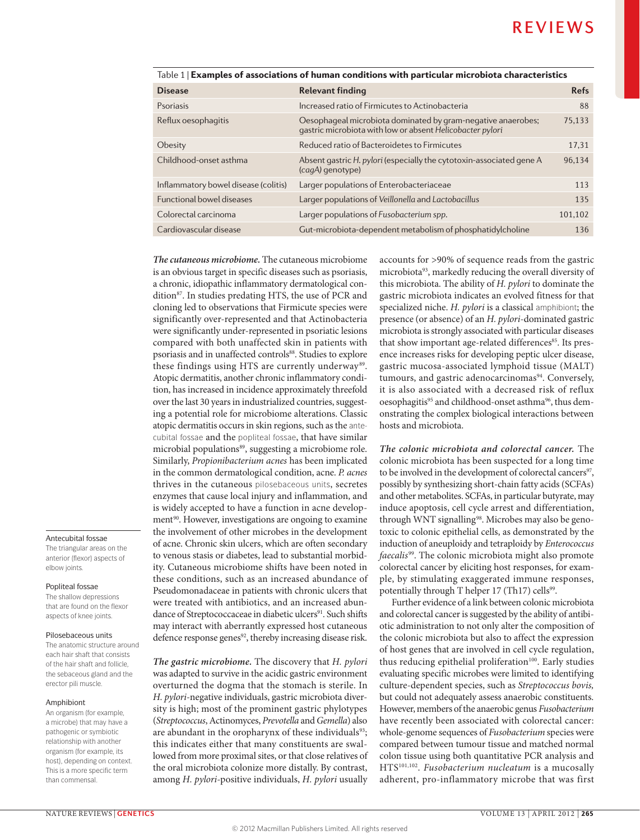| <b>Disease</b>                       | <b>Relevant finding</b>                                                                                                   | <b>Refs</b> |
|--------------------------------------|---------------------------------------------------------------------------------------------------------------------------|-------------|
| Psoriasis                            | Increased ratio of Firmicutes to Actinobacteria                                                                           | 88          |
| Reflux oesophagitis                  | Oesophageal microbiota dominated by gram-negative anaerobes;<br>gastric microbiota with low or absent Helicobacter pylori | 75.133      |
| Obesity                              | Reduced ratio of Bacteroidetes to Firmicutes                                                                              | 17,31       |
| Childhood-onset asthma               | Absent gastric H. pylori (especially the cytotoxin-associated gene A<br>(cagA) genotype)                                  | 96.134      |
| Inflammatory bowel disease (colitis) | Larger populations of Enterobacteriaceae                                                                                  | 113         |
| Functional bowel diseases            | Larger populations of Veillonella and Lactobacillus                                                                       | 135         |
| Colorectal carcinoma                 | Larger populations of Fusobacterium spp.                                                                                  | 101.102     |
| Cardiovascular disease               | Gut-microbiota-dependent metabolism of phosphatidylcholine                                                                | 136         |

| Table 1   Examples of associations of human conditions with particular microbiota characteristics |                  |  |
|---------------------------------------------------------------------------------------------------|------------------|--|
| $D: \mathbb{R} \to \mathbb{R}$                                                                    | Deletted Cadines |  |

*The cutaneous microbiome.* The cutaneous microbiome is an obvious target in specific diseases such as psoriasis, a chronic, idiopathic inflammatory dermatological condition<sup>87</sup>. In studies predating HTS, the use of PCR and cloning led to observations that Firmicute species were significantly over-represented and that Actinobacteria were significantly under-represented in psoriatic lesions compared with both unaffected skin in patients with psoriasis and in unaffected controls88. Studies to explore these findings using HTS are currently underway<sup>89</sup>. Atopic dermatitis, another chronic inflammatory condition, has increased in incidence approximately threefold over the last 30 years in industrialized countries, suggesting a potential role for microbiome alterations. Classic atopic dermatitis occurs in skin regions, such as the antecubital fossae and the popliteal fossae, that have similar microbial populations<sup>89</sup>, suggesting a microbiome role. Similarly, *Propionibacterium acnes* has been implicated in the common dermatological condition, acne. *P. acnes* thrives in the cutaneous pilosebaceous units, secretes enzymes that cause local injury and inflammation, and is widely accepted to have a function in acne development<sup>90</sup>. However, investigations are ongoing to examine the involvement of other microbes in the development of acne. Chronic skin ulcers, which are often secondary to venous stasis or diabetes, lead to substantial morbidity. Cutaneous microbiome shifts have been noted in these conditions, such as an increased abundance of Pseudomonadaceae in patients with chronic ulcers that were treated with antibiotics, and an increased abundance of Streptococcaceae in diabetic ulcers<sup>91</sup>. Such shifts may interact with aberrantly expressed host cutaneous defence response genes<sup>92</sup>, thereby increasing disease risk.

*The gastric microbiome.* The discovery that *H. pylori* was adapted to survive in the acidic gastric environment overturned the dogma that the stomach is sterile. In *H. pylori*-negative individuals, gastric microbiota diversity is high; most of the prominent gastric phylotypes (*Streptococcus*, Actinomyces, *Prevotella* and *Gemella*) also are abundant in the oropharynx of these individuals<sup>93</sup>; this indicates either that many constituents are swallowed from more proximal sites, or that close relatives of the oral microbiota colonize more distally. By contrast, among *H. pylori-*positive individuals, *H. pylori* usually accounts for >90% of sequence reads from the gastric microbiota<sup>93</sup>, markedly reducing the overall diversity of this microbiota. The ability of *H. pylori* to dominate the gastric microbiota indicates an evolved fitness for that specialized niche. *H. pylori* is a classical amphibiont; the presence (or absence) of an *H. pylori*-dominated gastric microbiota is strongly associated with particular diseases that show important age-related differences<sup>85</sup>. Its presence increases risks for developing peptic ulcer disease, gastric mucosa-associated lymphoid tissue (MALT) tumours, and gastric adenocarcinomas<sup>94</sup>. Conversely, it is also associated with a decreased risk of reflux oesophagitis<sup>95</sup> and childhood-onset asthma<sup>96</sup>, thus demonstrating the complex biological interactions between hosts and microbiota.

*The colonic microbiota and colorectal cancer.* The colonic microbiota has been suspected for a long time to be involved in the development of colorectal cancers<sup>97</sup>, possibly by synthesizing short-chain fatty acids (SCFAs) and other metabolites. SCFAs, in particular butyrate, may induce apoptosis, cell cycle arrest and differentiation, through WNT signalling<sup>98</sup>. Microbes may also be genotoxic to colonic epithelial cells, as demonstrated by the induction of aneuploidy and tetraploidy by *Enterococcus faecalis*99. The colonic microbiota might also promote colorectal cancer by eliciting host responses, for example, by stimulating exaggerated immune responses, potentially through T helper 17 (Th17) cells<sup>99</sup>.

Further evidence of a link between colonic microbiota and colorectal cancer is suggested by the ability of antibiotic administration to not only alter the composition of the colonic microbiota but also to affect the expression of host genes that are involved in cell cycle regulation, thus reducing epithelial proliferation<sup>100</sup>. Early studies evaluating specific microbes were limited to identifying culture-dependent species, such as *Streptococcus bovis,* but could not adequately assess anaerobic constituents. However, members of the anaerobic genus *Fusobacterium* have recently been associated with colorectal cancer: whole-genome sequences of *Fusobacterium* species were compared between tumour tissue and matched normal colon tissue using both quantitative PCR analysis and HTS101,102. *Fusobacterium nucleatum* is a mucosally adherent, pro-inflammatory microbe that was first

### Antecubital fossae

The triangular areas on the anterior (flexor) aspects of elbow joints.

### Popliteal fossae

The shallow depressions that are found on the flexor aspects of knee joints.

### Pilosebaceous units

The anatomic structure around each hair shaft that consists of the hair shaft and follicle, the sebaceous gland and the erector pili muscle.

#### Amphibiont

An organism (for example, a microbe) that may have a pathogenic or symbiotic relationship with another organism (for example, its host), depending on context. This is a more specific term than commensal.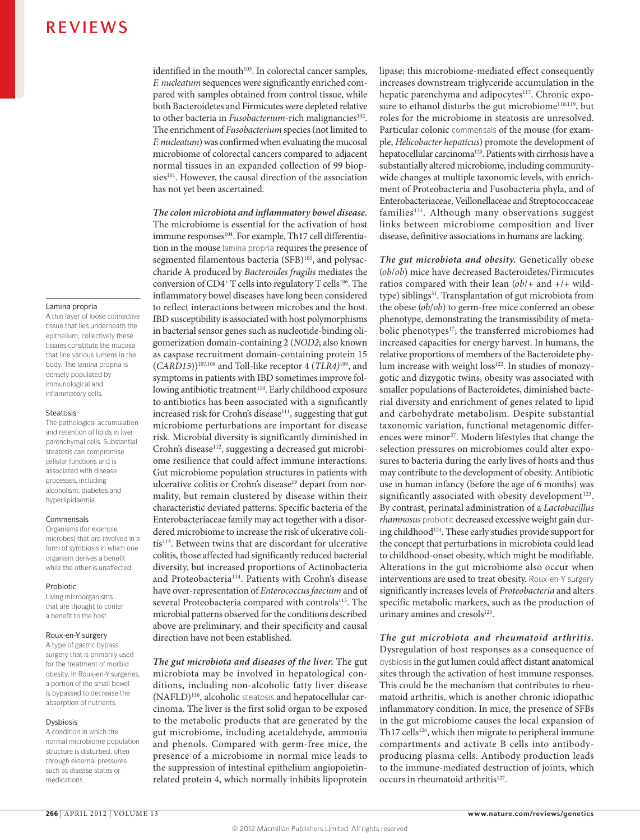#### Lamina propria

A thin layer of loose connective tissue that lies underneath the epithelium; collectively these tissues constitute the mucosa that line various lumens in the body. The lamina propria is densely populated by immunological and inflammatory cells.

### Steatosis

The pathological accumulation and retention of lipids in liver parenchymal cells. Substantial steatosis can compromise cellular functions and is associated with disease processes, including alcoholism, diabetes and hyperlipidaemia.

#### **Commensals**

Organisms (for example, microbes) that are involved in a form of symbiosis in which one organism derives a benefit while the other is unaffected.

### Probiotic

Living microorganisms that are thought to confer a benefit to the host.

### Roux-en-Y surgery

A type of gastric bypass surgery that is primarily used for the treatment of morbid obesity. In Roux-en-Y surgeries, a portion of the small bowel is bypassed to decrease the absorption of nutrients.

### Dysbiosis

A condition in which the normal microbiome population structure is disturbed, often through external pressures such as disease states or medications.

identified in the mouth<sup>103</sup>. In colorectal cancer samples, *F. nucleatum* sequences were significantly enriched compared with samples obtained from control tissue, while both Bacteroidetes and Firmicutes were depleted relative to other bacteria in *Fusobacterium*-rich malignancies<sup>102</sup>. The enrichment of *Fusobacterium* species (not limited to *F. nucleatum*) was confirmed when evaluating the mucosal microbiome of colorectal cancers compared to adjacent normal tissues in an expanded collection of 99 biopsies<sup>101</sup>. However, the causal direction of the association has not yet been ascertained.

*The colon microbiota and inflammatory bowel disease.* The microbiome is essential for the activation of host immune responses<sup>104</sup>. For example, Th17 cell differentiation in the mouse lamina propria requires the presence of segmented filamentous bacteria (SFB)<sup>105</sup>, and polysaccharide A produced by *Bacteroides fragilis* mediates the conversion of  $CD4^+$  T cells into regulatory T cells<sup>106</sup>. The inflammatory bowel diseases have long been considered to reflect interactions between microbes and the host. IBD susceptibility is associated with host polymorphisms in bacterial sensor genes such as nucleotide-binding oligomerization domain-containing 2 (*NOD2*; also known as caspase recruitment domain-containing protein 15 (*CARD15*))107,108 and Toll-like receptor 4 (*TLR4)*109, and symptoms in patients with IBD sometimes improve following antibiotic treatment<sup>110</sup>. Early childhood exposure to antibiotics has been associated with a significantly increased risk for Crohn's disease<sup>111</sup>, suggesting that gut microbiome perturbations are important for disease risk. Microbial diversity is significantly diminished in Crohn's disease<sup>112</sup>, suggesting a decreased gut microbiome resilience that could affect immune interactions. Gut microbiome population structures in patients with ulcerative colitis or Crohn's disease<sup>19</sup> depart from normality, but remain clustered by disease within their characteristic deviated patterns. Specific bacteria of the Enterobacteriaceae family may act together with a disordered microbiome to increase the risk of ulcerative colitis<sup>113</sup>. Between twins that are discordant for ulcerative colitis, those affected had significantly reduced bacterial diversity, but increased proportions of Actinobacteria and Proteobacteria<sup>114</sup>. Patients with Crohn's disease have over-representation of *Enterococcus faecium* and of several Proteobacteria compared with controls<sup>115</sup>. The microbial patterns observed for the conditions described above are preliminary, and their specificity and causal direction have not been established.

*The gut microbiota and diseases of the liver.* The gut microbiota may be involved in hepatological conditions, including non-alcoholic fatty liver disease (NAFLD)116, alcoholic steatosis and hepatocellular carcinoma. The liver is the first solid organ to be exposed to the metabolic products that are generated by the gut microbiome, including acetaldehyde, ammonia and phenols. Compared with germ-free mice, the presence of a microbiome in normal mice leads to the suppression of intestinal epithelium angiopoietinrelated protein 4, which normally inhibits lipoprotein lipase; this microbiome-mediated effect consequently increases downstream triglyceride accumulation in the hepatic parenchyma and adipocytes<sup>117</sup>. Chronic exposure to ethanol disturbs the gut microbiome<sup>118,119</sup>, but roles for the microbiome in steatosis are unresolved. Particular colonic commensals of the mouse (for example, *Helicobacter hepaticus*) promote the development of hepatocellular carcinoma<sup>120</sup>. Patients with cirrhosis have a substantially altered microbiome, including communitywide changes at multiple taxonomic levels, with enrichment of Proteobacteria and Fusobacteria phyla, and of Enterobacteriaceae, Veillonellaceae and Streptococcaceae families<sup>121</sup>. Although many observations suggest links between microbiome composition and liver disease, definitive associations in humans are lacking.

*The gut microbiota and obesity.* Genetically obese (*ob*/*ob*) mice have decreased Bacteroidetes/Firmicutes ratios compared with their lean (*ob*/+ and +/+ wildtype) siblings<sup>31</sup>. Transplantation of gut microbiota from the obese (*ob*/*ob*) to germ-free mice conferred an obese phenotype, demonstrating the transmissibility of metabolic phenotypes<sup>17</sup>; the transferred microbiomes had increased capacities for energy harvest. In humans, the relative proportions of members of the Bacteroidete phylum increase with weight loss<sup>122</sup>. In studies of monozygotic and dizygotic twins, obesity was associated with smaller populations of Bacteroidetes, diminished bacterial diversity and enrichment of genes related to lipid and carbohydrate metabolism. Despite substantial taxonomic variation, functional metagenomic differences were minor<sup>37</sup>. Modern lifestyles that change the selection pressures on microbiomes could alter exposures to bacteria during the early lives of hosts and thus may contribute to the development of obesity. Antibiotic use in human infancy (before the age of 6 months) was significantly associated with obesity development<sup>123</sup>. By contrast, perinatal administration of a *Lactobacillus rhamnosus* probiotic decreased excessive weight gain during childhood<sup>124</sup>. These early studies provide support for the concept that perturbations in microbiota could lead to childhood-onset obesity, which might be modifiable. Alterations in the gut microbiome also occur when interventions are used to treat obesity. Roux-en-Y surgery significantly increases levels of *Proteobacteria* and alters specific metabolic markers, such as the production of urinary amines and cresols<sup>125</sup>.

## *The gut microbiota and rheumatoid arthritis.*

Dysregulation of host responses as a consequence of dysbiosis in the gut lumen could affect distant anatomical sites through the activation of host immune responses. This could be the mechanism that contributes to rheumatoid arthritis, which is another chronic idiopathic inflammatory condition. In mice, the presence of SFBs in the gut microbiome causes the local expansion of Th17 cells<sup>126</sup>, which then migrate to peripheral immune compartments and activate B cells into antibodyproducing plasma cells. Antibody production leads to the immune-mediated destruction of joints, which occurs in rheumatoid arthritis<sup>127</sup>.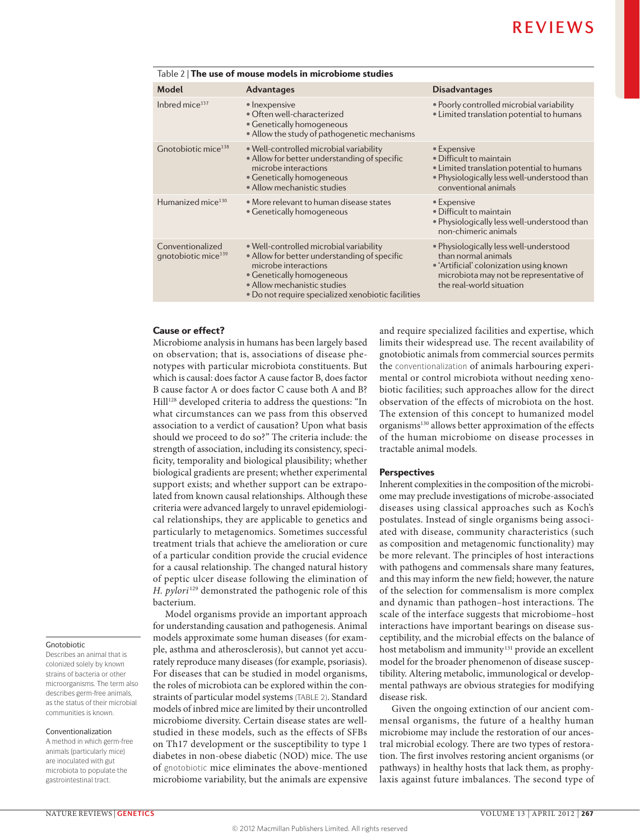| Table 2   The use of mouse models in microbiome studies |                                                                                                                                                                                                                                   |                                                                                                                                                                                 |  |  |
|---------------------------------------------------------|-----------------------------------------------------------------------------------------------------------------------------------------------------------------------------------------------------------------------------------|---------------------------------------------------------------------------------------------------------------------------------------------------------------------------------|--|--|
| Model                                                   | <b>Advantages</b>                                                                                                                                                                                                                 | <b>Disadvantages</b>                                                                                                                                                            |  |  |
| Inbred mice $137$                                       | • Inexpensive<br>• Often well-characterized<br>• Genetically homogeneous<br>• Allow the study of pathogenetic mechanisms                                                                                                          | • Poorly controlled microbial variability<br>• Limited translation potential to humans                                                                                          |  |  |
| Gnotobiotic mice <sup>138</sup>                         | • Well-controlled microbial variability<br>• Allow for better understanding of specific<br>microbe interactions<br>• Genetically homogeneous<br>• Allow mechanistic studies                                                       | • Expensive<br>• Difficult to maintain<br>• Limited translation potential to humans<br>. Physiologically less well-understood than<br>conventional animals                      |  |  |
| Humanized mice <sup>130</sup>                           | • More relevant to human disease states<br>• Genetically homogeneous                                                                                                                                                              | • Expensive<br>• Difficult to maintain<br>• Physiologically less well-understood than<br>non-chimeric animals                                                                   |  |  |
| Conventionalized<br>qnotobiotic mice <sup>139</sup>     | . Well-controlled microbial variability<br>• Allow for better understanding of specific<br>microbe interactions<br>• Genetically homogeneous<br>• Allow mechanistic studies<br>• Do not require specialized xenobiotic facilities | • Physiologically less well-understood<br>than normal animals<br>• 'Artificial' colonization using known<br>microbiota may not be representative of<br>the real-world situation |  |  |

## Cause or effect?

Microbiome analysis in humans has been largely based on observation; that is, associations of disease phenotypes with particular microbiota constituents. But which is causal: does factor A cause factor B, does factor B cause factor A or does factor C cause both A and B? Hill128 developed criteria to address the questions: "In what circumstances can we pass from this observed association to a verdict of causation? Upon what basis should we proceed to do so?" The criteria include: the strength of association, including its consistency, specificity, temporality and biological plausibility; whether biological gradients are present; whether experimental support exists; and whether support can be extrapolated from known causal relationships. Although these criteria were advanced largely to unravel epidemiological relationships, they are applicable to genetics and particularly to metagenomics. Sometimes successful treatment trials that achieve the amelioration or cure of a particular condition provide the crucial evidence for a causal relationship. The changed natural history of peptic ulcer disease following the elimination of *H. pylori* 129 demonstrated the pathogenic role of this bacterium.

Model organisms provide an important approach for understanding causation and pathogenesis. Animal models approximate some human diseases (for example, asthma and atherosclerosis), but cannot yet accurately reproduce many diseases (for example, psoriasis). For diseases that can be studied in model organisms, the roles of microbiota can be explored within the constraints of particular model systems (TABLE 2). Standard models of inbred mice are limited by their uncontrolled microbiome diversity. Certain disease states are wellstudied in these models, such as the effects of SFBs on Th17 development or the susceptibility to type 1 diabetes in non-obese diabetic (NOD) mice. The use of gnotobiotic mice eliminates the above-mentioned microbiome variability, but the animals are expensive and require specialized facilities and expertise, which limits their widespread use. The recent availability of gnotobiotic animals from commercial sources permits the conventionalization of animals harbouring experimental or control microbiota without needing xenobiotic facilities; such approaches allow for the direct observation of the effects of microbiota on the host. The extension of this concept to humanized model organisms<sup>130</sup> allows better approximation of the effects of the human microbiome on disease processes in tractable animal models.

### **Perspectives**

Inherent complexities in the composition of the microbiome may preclude investigations of microbe-associated diseases using classical approaches such as Koch's postulates. Instead of single organisms being associated with disease, community characteristics (such as composition and metagenomic functionality) may be more relevant. The principles of host interactions with pathogens and commensals share many features, and this may inform the new field; however, the nature of the selection for commensalism is more complex and dynamic than pathogen–host interactions. The scale of the interface suggests that microbiome–host interactions have important bearings on disease susceptibility, and the microbial effects on the balance of host metabolism and immunity<sup>131</sup> provide an excellent model for the broader phenomenon of disease susceptibility. Altering metabolic, immunological or developmental pathways are obvious strategies for modifying disease risk.

Given the ongoing extinction of our ancient commensal organisms, the future of a healthy human microbiome may include the restoration of our ancestral microbial ecology. There are two types of restoration. The first involves restoring ancient organisms (or pathways) in healthy hosts that lack them, as prophylaxis against future imbalances. The second type of

### Gnotobiotic

Describes an animal that is colonized solely by known strains of bacteria or other microorganisms. The term also describes germ-free animals, as the status of their microbial communities is known.

### Conventionalization

A method in which germ-free animals (particularly mice) are inoculated with gut microbiota to populate the gastrointestinal tract.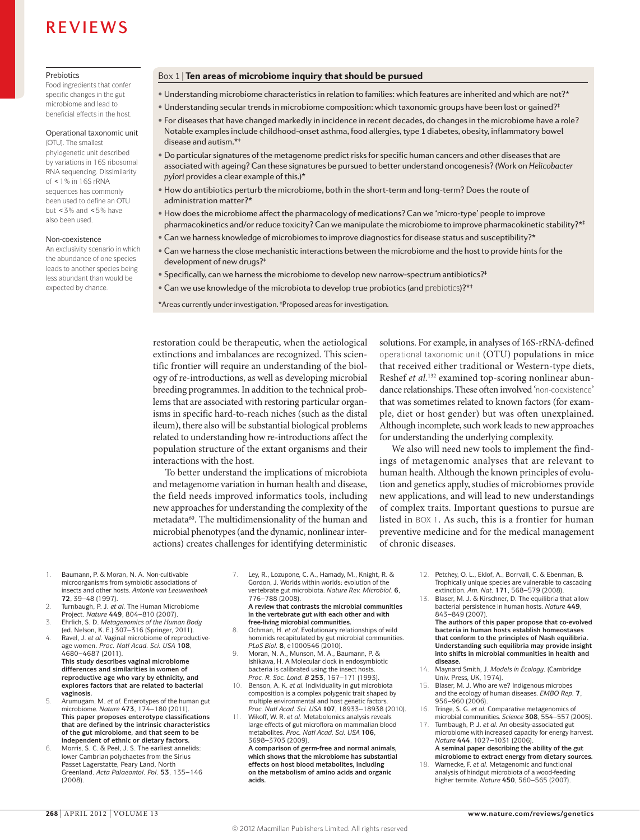### Prebiotics

Food ingredients that confer specific changes in the gut microbiome and lead to beneficial effects in the host.

### Operational taxonomic unit

(OTU). The smallest phylogenetic unit described by variations in 16S ribosomal RNA sequencing. Dissimilarity of <1% in 16S rRNA sequences has commonly been used to define an OTU but <3% and <5% have also been used.

### Non-coexistence

An exclusivity scenario in which the abundance of one species leads to another species being less abundant than would be expected by chance.

### Box 1 | Ten areas of microbiome inquiry that should be pursued

- Understanding microbiome characteristics in relation to families: which features are inherited and which are not?\*
- Understanding secular trends in microbiome composition: which taxonomic groups have been lost or gained?<sup>‡</sup>
- For diseases that have changed markedly in incidence in recent decades, do changes in the microbiome have a role? Notable examplesinclude childhood-onset asthma, food allergies,type 1 diabetes, obesity, inflammatory bowel disease and autism.\*‡
- Do particular signatures of the metagenome predict risks for specific human cancers and other diseases that are associated with ageing?Can these signatures be pursued to better understand oncogenesis? (Work on *Helicobacter pylori* provides a clear example of this.)\*
- How do antibiotics perturb the microbiome, both in the short-term and long-term? Does the route of administration matter?\*
- • How doesthe microbiome affectthe pharmacology of medications?Can we 'micro-type' people to improve pharmacokinetics and/or reduce toxicity? Can we manipulate the microbiome to improve pharmacokinetic stability?\*‡
- Can we harness knowledge of microbiomes to improve diagnostics for disease status and susceptibility?\*
- Can we harness the close mechanistic interactions between the microbiome and the host to provide hints for the development of new drugs?‡
- Specifically, can we harness the microbiome to develop new narrow-spectrum antibiotics?<sup>†</sup>
- Can we use knowledge of the microbiota to develop true probiotics (and prebiotics)?\*\*

\* Areas currently under investigation. <sup>‡</sup> Proposed areas for investigation.

restoration could be therapeutic, when the aetiological extinctions and imbalances are recognized. This scientific frontier will require an understanding of the biology of re-introductions, as well as developing microbial breeding programmes. In addition to the technical problems that are associated with restoring particular organisms in specific hard-to-reach niches (such as the distal ileum), there also will be substantial biological problems related to understanding how re-introductions affect the population structure of the extant organisms and their interactions with the host.

To better understand the implications of microbiota and metagenome variation in human health and disease, the field needs improved informatics tools, including new approaches for understanding the complexity of the metadata<sup>60</sup>. The multidimensionality of the human and microbial phenotypes (and the dynamic, nonlinear interactions) creates challenges for identifying deterministic solutions. For example, in analyses of 16S-rRNA-defined operational taxonomic unit (OTU) populations in mice that received either traditional or Western-type diets, Reshef *et al.*132 examined top-scoring nonlinear abundance relationships. These often involved 'non-coexistence' that was sometimes related to known factors (for example, diet or host gender) but was often unexplained. Although incomplete, such work leads to new approaches for understanding the underlying complexity.

We also will need new tools to implement the findings of metagenomic analyses that are relevant to human health. Although the known principles of evolution and genetics apply, studies of microbiomes provide new applications, and will lead to new understandings of complex traits. Important questions to pursue are listed in BOX 1. As such, this is a frontier for human preventive medicine and for the medical management of chronic diseases.

- 1. Baumann, P. & Moran, N. A. Non-cultivable microorganisms from symbiotic associations of insects and other hosts. *Antonie van Leeuwenhoek* **72**, 39–48 (1997).
- 2. Turnbaugh, P. J. *et al.* The Human Microbiome Project. *Nature* **449**, 804–810 (2007).
- 3. Ehrlich, S. D. *Metagenomics of the Human Body* (ed. Nelson, K. E.) 307–316 (Springer, 2011).
- 4. Ravel, J. *et al.* Vaginal microbiome of reproductiveage women. *Proc. Natl Acad. Sci. USA* **108**, 4680–4687 (2011). **This study describes vaginal microbiome differences and similarities in women of reproductive age who vary by ethnicity, and explores factors that are related to bacterial vaginosis.**
- 5. Arumugam, M. *et al.* Enterotypes of the human gut microbiome. *Nature* **473**, 174–180 (2011). **This paper proposes enterotype classifications that are defined by the intrinsic characteristics of the gut microbiome, and that seem to be independent of ethnic or dietary factors.**
- 6. Morris, S. C. & Peel, J. S. The earliest annelids: lower Cambrian polychaetes from the Sirius Passet Lagerstatte, Peary Land, North Greenland. *Acta Palaeontol. Pol.* **53**, 135–146 (2008).

7. Ley, R., Lozupone, C. A., Hamady, M., Knight, R. & Gordon, J. Worlds within worlds: evolution of the vertebrate gut microbiota. *Nature Rev. Microbiol.* **6**, 776–788 (2008). **A review that contrasts the microbial communities** 

**in the vertebrate gut with each other and with free-living microbial communities.**

- Ochman, H. et al. Evolutionary relationships of wild hominids recapitulated by gut microbial communities. *PLoS Biol.* **8**, e1000546 (2010).
- 9. Moran, N. A., Munson, M. A., Baumann, P. & Ishikawa, H. A Molecular clock in endosymbiotic bacteria is calibrated using the insect hosts. *Proc. R. Soc. Lond. B* **253**, 167–171 (1993).
- 10. Benson, A. K. *et al.* Individuality in gut microbiota composition is a complex polygenic trait shaped by multiple environmental and host genetic factors. *Proc. Natl Acad. Sci. USA* **107**, 18933–18938 (2010).
- Wikoff, W. R. et al. Metabolomics analysis reveals large effects of gut microflora on mammalian blood metabolites. *Proc. Natl Acad. Sci. USA* **106**, 3698–3703 (2009).

**A comparison of germ-free and normal animals, which shows that the microbiome has substantial effects on host blood metabolites, including on the metabolism of amino acids and organic acids.**

- 12. Petchey, O. L., Eklof, A., Borrvall, C. & Ebenman, B. Trophically unique species are vulnerable to cascading extinction. *Am. Nat.* **171**, 568–579 (2008).
- Blaser, M. J. & Kirschner, D. The equilibria that allow bacterial persistence in human hosts. *Nature* **449**, 843–849 (2007).

**The authors of this paper propose that co-evolved bacteria in human hosts establish homeostases that conform to the principles of Nash equilibria. Understanding such equilibria may provide insight into shifts in microbial communities in health and disease.**

- 14. Maynard Smith, J. *Models in Ecology*. (Cambridge Univ. Press, UK, 1974).
- 15. Blaser, M. J. Who are we? Indigenous microbes and the ecology of human diseases. *EMBO Rep.* **7**, 956–960 (2006).
- 16. Tringe, S. G. *et al.* Comparative metagenomics of microbial communities. *Science* **308**, 554–557 (2005).

Turnbaugh, P. J. et al. An obesity-associated gut microbiome with increased capacity for energy harvest. *Nature* **444**, 1027–1031 (2006). **A seminal paper describing the ability of the gut** 

**microbiome to extract energy from dietary sources.** Warnecke, F. et al. Metagenomic and functional

analysis of hindgut microbiota of a wood-feeding higher termite. *Nature* **450**, 560–565 (2007).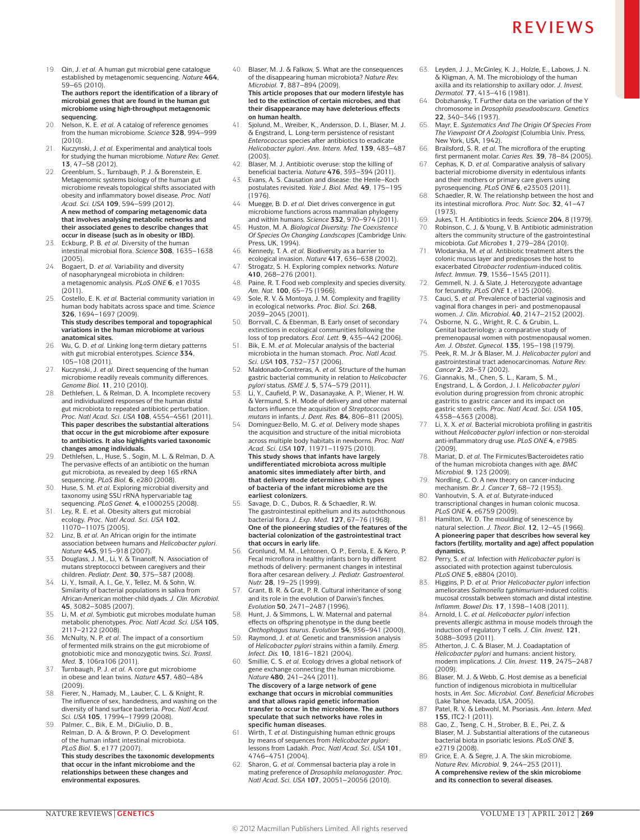- 19. Qin, J. *et al.* A human gut microbial gene catalogue established by metagenomic sequencing. *Nature* **464**, 59–65 (2010). **The authors report the identification of a library of microbial genes that are found in the human gut microbiome using high-throughput metagenomic**
- **sequencing.** 20. Nelson, K. E. *et al.* A catalog of reference genomes from the human microbiome. *Science* **328**, 994–999 (2010).
- 21. Kuczynski, J. *et al.* Experimental and analytical tools for studying the human microbiome. *Nature Rev. Genet.* **13**, 47–58 (2012).
- 22. Greenblum, S., Turnbaugh, P. J. & Borenstein, E. Metagenomic systems biology of the human gut microbiome reveals topological shifts associated with obesity and inflammatory bowel disease. *Proc. Natl Acad. Sci. USA* **109**, 594–599 (2012). **A new method of comparing metagenomic data that involves analysing metabolic networks and their associated genes to describe changes that occur in disease (such as in obesity or IBD).**
- 23. Eckburg, P. B. *et al.* Diversity of the human intestinal microbial flora. *Science* **308**, 1635–1638 (2005).
- 24. Bogaert, D. *et al.* Variability and diversity of nasopharyngeal microbiota in children: a metagenomic analysis. *PLoS ONE* **6**, e17035  $(2011)$
- 25. Costello, E. K. *et al.* Bacterial community variation in human body habitats across space and time. *Science* **326**, 1694–1697 (2009). **This study describes temporal and topographical variations in the human microbiome at various anatomical sites.**
- 26. Wu, G. D. *et al.* Linking long-term dietary patterns with gut microbial enterotypes. *Science* **334**, 105–108 (2011).
- 27. Kuczynski, J. *et al.* Direct sequencing of the human microbiome readily reveals community differences. *Genome Biol.* **11**, 210 (2010).
- 28. Dethlefsen, L. & Relman, D. A. Incomplete recovery and individualized responses of the human distal gut microbiota to repeated antibiotic perturbation. *Proc. Natl Acad. Sci. USA* **108**, 4554–4561 (2011). **This paper describes the substantial alterations that occur in the gut microbiome after exposure to antibiotics. It also highlights varied taxonomic changes among individuals.**
- 29. Dethlefsen, L., Huse, S., Sogin, M. L. & Relman, D. A. The pervasive effects of an antibiotic on the human gut microbiota, as revealed by deep 16S rRNA sequencing. *PLoS Biol.* **6**, e280 (2008).
- 30. Huse, S. M. *et al.* Exploring microbial diversity and taxonomy using SSU rRNA hypervariable tag sequencing. *PLoS Genet.* **4**, e1000255 (2008).
- 31. Ley, R. E. et al. Obesity alters gut microbial ecology. *Proc. Natl Acad. Sci. USA* **102**,
- 11070–11075 (2005). 32. Linz, B. *et al.* An African origin for the intimate association between humans and *Helicobacter pylori*. *Nature* **445**, 915–918 (2007).
- 33. Douglass, J. M., Li, Y. & Tinanoff, N. Association of mutans streptococci between caregivers and their children. *Pediatr. Dent.* **30**, 375–387 (2008).
- 34. Li, Y., Ismail, A. I., Ge, Y., Tellez, M. & Sohn, W. Similarity of bacterial populations in saliva from African-American mother-child dyads. *J. Clin. Microbiol.*  **45**, 3082–3085 (2007).
- 35. Li, M. *et al.* Symbiotic gut microbes modulate human metabolic phenotypes. *Proc. Natl Acad. Sci. USA* **105**, 2117–2122 (2008).
- 36. McNulty, N. P. *et al.* The impact of a consortium of fermented milk strains on the gut microbiome of gnotobiotic mice and monozygotic twins. *Sci. Transl. Med.* **3**, 106ra106 (2011).
- 37. Turnbaugh, P. J. *et al.* A core gut microbiome in obese and lean twins. *Nature* **457**, 480–484 (2009).
- 38. Fierer, N., Hamady, M., Lauber, C. L. & Knight, R. The influence of sex, handedness, and washing on the diversity of hand surface bacteria. *Proc. Natl Acad. Sci. USA* **105**, 17994–17999 (2008).
- Palmer, C., Bik, E. M., DiGiulio, D. B., Relman, D. A. & Brown, P. O. Development of the human infant intestinal microbiota. *PLoS Biol.* **5**, e177 (2007). **This study describes the taxonomic developments that occur in the infant microbiome and the relationships between these changes and environmental exposures.**
- 40. Blaser, M. J. & Falkow, S. What are the consequences of the disappearing human microbiota? *Nature Rev. Microbiol.* **7**, 887–894 (2009). **This article proposes that our modern lifestyle has led to the extinction of certain microbes, and that their disappearance may have deleterious effects on human health.**
- 41. Sjolund, M., Wreiber, K., Andersson, D. I., Blaser, M. J. & Engstrand, L. Long-term persistence of resistant *Enterococcus* species after antibiotics to eradicate *Helicobacter pylori*. *Ann. Intern. Med.* **139**, 483–487 (2003).
- 42. Blaser, M. J. Antibiotic overuse: stop the killing of beneficial bacteria. *Nature* **476**, 393–394 (2011).
- 43. Evans, A. S. Causation and disease: the Henle–Koch postulates revisited. *Yale J. Biol. Med.* **49**, 175–195 (1976).
- 44. Muegge, B. D. *et al.* Diet drives convergence in gut microbiome functions across mammalian phylogeny and within humans. *Science* **332**, 970–974 (2011).
- 45. Huston, M. A. *Biological Diversity: The Coexistence Of Species On Changing Landscapes* (Cambridge Univ. Press, UK, 1994).
- 46. Kennedy, T. A. *et al.* Biodiversity as a barrier to ecological invasion. *Nature* **417**, 636–638 (2002).
- 47. Strogatz, S. H. Exploring complex networks. *Nature* **410**, 268–276 (2001).
- 48. Paine, R. T. Food web complexity and species diversity. *Am. Nat.* **100**, 65–75 (1966).
- 49. Sole, R. V. & Montoya, J. M. Complexity and fragility in ecological networks. *Proc. Biol. Sci.* **268**, 2039–2045 (2001).
- Borrvall, C. & Ebenman, B. Early onset of secondary extinctions in ecological communities following the loss of top predators. *Ecol. Lett.* **9**, 435–442 (2006).
- 51. Bik, E. M. *et al.* Molecular analysis of the bacterial microbiota in the human stomach. *Proc. Natl Acad. Sci. USA* **103**, 732–737 (2006).
- Maldonado-Contreras, A. et al. Structure of the human gastric bacterial community in relation to *Helicobacter pylori* status. *ISME J.* **5**, 574–579 (2011).
- 53. Li, Y., Caufield, P. W., Dasanayake, A. P., Wiener, H. W. & Vermund, S. H. Mode of delivery and other maternal factors influence the acquisition of *Streptococcus mutans* in infants. *J. Dent. Res.* **84**, 806–811 (2005).
- 54. Dominguez-Bello, M. G. *et al.* Delivery mode shapes the acquisition and structure of the initial microbiota across multiple body habitats in newborns. *Proc. Natl Acad. Sci. USA* **107**, 11971–11975 (2010). **This study shows that infants have largely undifferentiated microbiota across multiple anatomic sites immediately after birth, and that delivery mode determines which types of bacteria of the infant microbiome are the earliest colonizers.**
- 55. Savage, D. C., Dubos, R. & Schaedler, R. W. The gastrointestinal epithelium and its autochthonous bacterial flora. *J. Exp. Med.* **127**, 67–76 (1968). **One of the pioneering studies of the features of the bacterial colonization of the gastrointestinal tract that occurs in early life.**
- 56. Gronlund, M. M., Lehtonen, O. P., Eerola, E. & Kero, P. Fecal microflora in healthy infants born by different methods of delivery: permanent changes in intestinal flora after cesarean delivery. *J. Pediatr. Gastroenterol. Nutr.* **28**, 19–25 (1999).
- 57. Grant, B. R. & Grat, P. R. Cultural inheritance of song and its role in the evolution of Darwin's finches.
- *Evolution* **50**, 2471–2487 (1996). 58. Hunt, J. & Simmons, L. W. Maternal and paternal effects on offspring phenotype in the dung beetle *Onthophagus taurus*. *Evolution* **54**, 936–941 (2000).
- 59. Raymond, J. *et al.* Genetic and transmission analysis of *Helicobacter pylori* strains within a family. *Emerg. Infect. Dis.* **10**, 1816–1821 (2004).
- 60. Smillie, C. S. *et al.* Ecology drives a global network of gene exchange connecting the human microbiome. *Nature* **480**, 241–244 (2011). **The discovery of a large network of gene exchange that occurs in microbial communities and that allows rapid genetic information transfer to occur in the microbiome. The authors speculate that such networks have roles in specific human diseases.**
- Wirth, T. et al. Distinguishing human ethnic groups by means of sequences from *Helicobacter pylori*: lessons from Ladakh. *Proc. Natl Acad. Sci. USA* **101**, 4746–4751 (2004).
- Sharon, G. et al. Commensal bacteria play a role in mating preference of *Drosophila melanogaster*. *Proc. Natl Acad. Sci. USA* **107**, 20051–20056 (2010).
- 63. Leyden, J. J., McGinley, K. J., Holzle, E., Labows, J. N. & Kligman, A. M. The microbiology of the human axilla and its relationship to axillary odor. *J. Invest. Dermatol.* **77**, 413–416 (1981).
- 64. Dobzhansky, T. Further data on the variation of the Y chromosome in *Drosophila pseudoobscura*. *Genetics* **22**, 340–346 (1937).
- 65. Mayr, E. *Systematics And The Origin Of Species From The Viewpoint Of A Zoologist* (Columbia Univ. Press, New York, USA, 1942).
- 66. Brailsford, S. R. *et al.* The microflora of the erupting first permanent molar. *Caries Res.* **39**, 78–84 (2005).
- 67. Cephas, K. D. *et al.* Comparative analysis of salivary bacterial microbiome diversity in edentulous infants and their mothers or primary care givers using
- pyrosequencing. *PLoS ONE* **6**, e23503 (2011). 68. Schaedler, R. W. The relationshp between the host and its intestinal microflora. *Proc. Nutr. Soc.* **32**, 41–47 (1973).
- 69. Jukes, T. H. Antibiotics in feeds. *Science* **204**, 8 (1979).
- 70. Robinson, C. J. & Young, V. B. Antibiotic administration alters the community structure of the gastrointestinal micobiota. *Gut Microbes* **1**, 279–284 (2010).
- 71. Wlodarska, M. *et al.* Antibiotic treatment alters the colonic mucus layer and predisposes the host to exacerbated *Citrobacter rodentium*-induced colitis. *Infect. Immun.* **79**, 1536–1545 (2011).
- Gemmell, N. J. & Slate, J. Heterozygote advantage for fecundity. *PLoS ONE* **1**, e125 (2006).
- 73. Cauci, S. *et al.* Prevalence of bacterial vaginosis and vaginal flora changes in peri- and postmenopausal women. *J. Clin. Microbiol.* **40**, 2147–2152 (2002).
- 74. Osborne, N. G., Wright, R. C. & Grubin, L. Genital bacteriology: a comparative study of premenopausal women with postmenopausal women. *Am. J. Obstet. Gynecol.* **135**, 195–198 (1979).
- 75. Peek, R. M. Jr & Blaser, M. J. *Helicobacter pylori* and gastrointestinal tract adenocarcinomas. *Nature Rev. Cancer* **2**, 28–37 (2002).
- 76. Giannakis, M., Chen, S. L., Karam, S. M., Engstrand, L. & Gordon, J. I. *Helicobacter pylori* evolution during progression from chronic atrophic gastritis to gastric cancer and its impact on gastric stem cells. *Proc. Natl Acad. Sci. USA* **105**, 4358–4363 (2008).
- 77. Li, X. X. *et al.* Bacterial microbiota profiling in gastritis without *Helicobacter pylori* infection or non-steroidal anti-inflammatory drug use. *PLoS ONE* **4**, e7985 (2009).
- 78. Mariat, D. *et al.* The Firmicutes/Bacteroidetes ratio of the human microbiota changes with age. *BMC Microbiol.* **9**, 123 (2009).
- 79. Nordling, C. O. A new theory on cancer-inducing mechanism. *Br. J. Cancer* **7**, 68–72 (1953).
- 80. Vanhoutvin, S. A. *et al.* Butyrate-induced transcriptional changes in human colonic mucosa. *PLoS ONE* **4**, e6759 (2009).
- 81. Hamilton, W. D. The moulding of senescence by natural selection. *J. Theor. Biol.* **12**, 12–45 (1966). **A pioneering paper that describes how several key factors (fertility, mortality and age) affect population dynamics.**
- 82. Perry, S. *et al.* Infection with *Helicobacter pylori* is associated with protection against tuberculosis. *PLoS ONE* **5**, e8804 (2010).
- 83. Higgins, P. D. *et al.* Prior *Helicobacter pylori* infection ameliorates *Salmonella typhimurium*-induced colitis: mucosal crosstalk between stomach and distal intestine. *Inflamm. Bowel Dis.* **17**, 1398–1408 (2011). 84. Arnold, I. C. *et al. Helicobacter pylori* infection
- prevents allergic asthma in mouse models through the induction of regulatory T cells. *J. Clin. Invest.* **121**, 3088–3093 (2011).
- 85. Atherton, J. C. & Blaser, M. J. Coadaptation of *Helicobacter pylori* and humans: ancient history, modern implications. *J. Clin. Invest.* **119**, 2475–2487 (2009).
- Blaser, M. J. & Webb, G. Host demise as a beneficial function of indigenous microbiota in multicellular hosts. in *Am. Soc. Microbiol. Conf. Beneficial Microbes*  (Lake Tahoe, Nevada, USA, 2005).
- 87. Patel, R. V. & Lebwohl, M. Psoriasis. *Ann. Intern. Med.* **155**, ITC2-1 (2011).
- 88. Gao, Z., Tseng, C. H., Strober, B. E., Pei, Z. & Blaser, M. J. Substantial alterations of the cutaneous bacterial biota in psoriatic lesions. *PLoS ONE* **3**, e2719 (2008).
- 89. Grice, E. A. & Segre, J. A. The skin microbiome. *Nature Rev. Microbiol.* **9**, 244–253 (2011). **A comprehensive review of the skin microbiome and its connection to several diseases.**